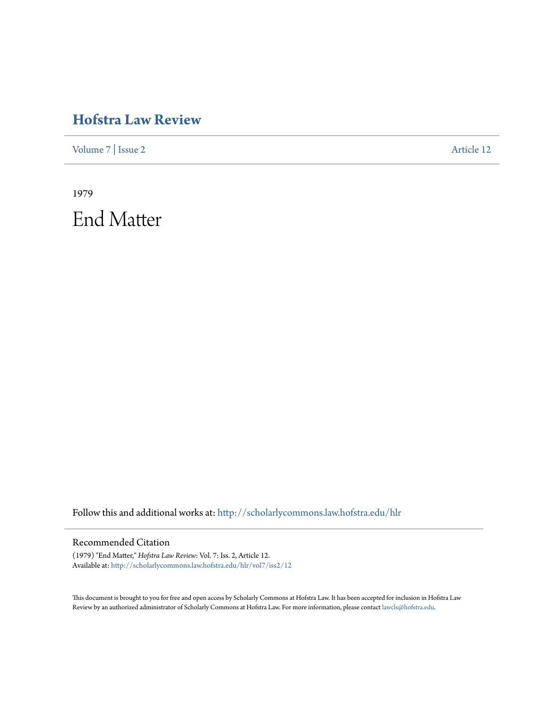## **[Hofstra Law Review](http://scholarlycommons.law.hofstra.edu/hlr?utm_source=scholarlycommons.law.hofstra.edu%2Fhlr%2Fvol7%2Fiss2%2F12&utm_medium=PDF&utm_campaign=PDFCoverPages)**

[Volume 7](http://scholarlycommons.law.hofstra.edu/hlr/vol7?utm_source=scholarlycommons.law.hofstra.edu%2Fhlr%2Fvol7%2Fiss2%2F12&utm_medium=PDF&utm_campaign=PDFCoverPages) | [Issue 2](http://scholarlycommons.law.hofstra.edu/hlr/vol7/iss2?utm_source=scholarlycommons.law.hofstra.edu%2Fhlr%2Fvol7%2Fiss2%2F12&utm_medium=PDF&utm_campaign=PDFCoverPages) [Article 12](http://scholarlycommons.law.hofstra.edu/hlr/vol7/iss2/12?utm_source=scholarlycommons.law.hofstra.edu%2Fhlr%2Fvol7%2Fiss2%2F12&utm_medium=PDF&utm_campaign=PDFCoverPages)

1979 End Matter

Follow this and additional works at: [http://scholarlycommons.law.hofstra.edu/hlr](http://scholarlycommons.law.hofstra.edu/hlr?utm_source=scholarlycommons.law.hofstra.edu%2Fhlr%2Fvol7%2Fiss2%2F12&utm_medium=PDF&utm_campaign=PDFCoverPages)

## Recommended Citation

(1979) "End Matter," *Hofstra Law Review*: Vol. 7: Iss. 2, Article 12. Available at: [http://scholarlycommons.law.hofstra.edu/hlr/vol7/iss2/12](http://scholarlycommons.law.hofstra.edu/hlr/vol7/iss2/12?utm_source=scholarlycommons.law.hofstra.edu%2Fhlr%2Fvol7%2Fiss2%2F12&utm_medium=PDF&utm_campaign=PDFCoverPages)

This document is brought to you for free and open access by Scholarly Commons at Hofstra Law. It has been accepted for inclusion in Hofstra Law Review by an authorized administrator of Scholarly Commons at Hofstra Law. For more information, please contact [lawcls@hofstra.edu](mailto:lawcls@hofstra.edu).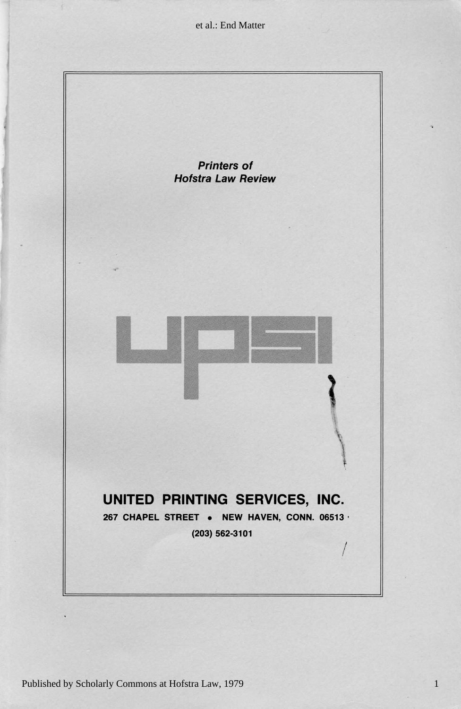et al.: End Matter



1